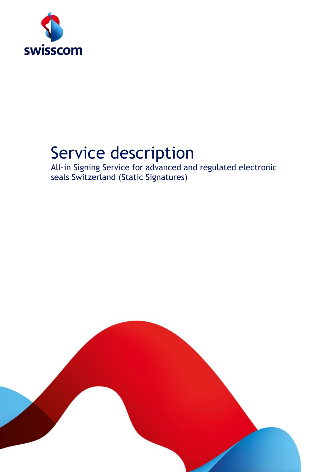

# Service description

All-in Signing Service for advanced and regulated electronic seals Switzerland (Static Signatures)

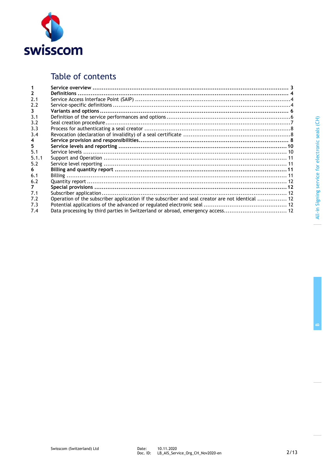

# Table of contents

| $\mathbf{2}$ |                                                                                                  |  |
|--------------|--------------------------------------------------------------------------------------------------|--|
| 2.1          |                                                                                                  |  |
| 2.2          |                                                                                                  |  |
| 3            |                                                                                                  |  |
| 3.1          |                                                                                                  |  |
| 3.2          |                                                                                                  |  |
| 3.3          |                                                                                                  |  |
| 3.4          |                                                                                                  |  |
| 4            |                                                                                                  |  |
| 5.           |                                                                                                  |  |
| 5.1          |                                                                                                  |  |
| 5.1.1        |                                                                                                  |  |
| 5.2          |                                                                                                  |  |
| 6.           |                                                                                                  |  |
| 6.1          |                                                                                                  |  |
| 6.2          |                                                                                                  |  |
| 7            |                                                                                                  |  |
| 7.1          |                                                                                                  |  |
| 7.2          | Operation of the subscriber application if the subscriber and seal creator are not identical  12 |  |
| 7.3          |                                                                                                  |  |
| 7.4          |                                                                                                  |  |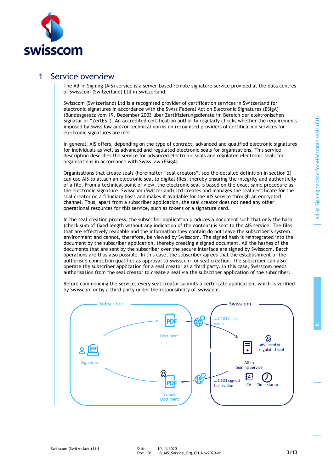**B**



### 1 Service overview

The All-in Signing (AIS) service is a server-based remote signature service provided at the data centres of Swisscom (Switzerland) Ltd in Switzerland.

Swisscom (Switzerland) Ltd is a recognised provider of certification services in Switzerland for electronic signatures in accordance with the Swiss Federal Act on Electronic Signatures (ESigA) (Bundesgesetz vom 19. Dezember 2003 über Zertifizierungsdienste im Bereich der elektronischen Signatur or "ZertES"). An accredited certification authority regularly checks whether the requirements imposed by Swiss law and/or technical norms on recognised providers of certification services for electronic signatures are met.

In general, AIS offers, depending on the type of contract, advanced and qualified electronic signatures for individuals as well as advanced and regulated electronic seals for organisations. This service description describes the service for advanced electronic seals and regulated electronic seals for organisations in accordance with Swiss law (ESigA).

Organisations that create seals (hereinafter "seal creators", see the detailed definition in section 2) can use AIS to attach an electronic seal to digital files, thereby ensuring the integrity and authenticity of a file. From a technical point of view, the electronic seal is based on the exact same procedure as the electronic signature. Swisscom (Switzerland) Ltd creates and manages the seal certificate for the seal creator on a fiduciary basis and makes it available for the AIS service through an encrypted channel. Thus, apart from a subscriber application, the seal creator does not need any other operational resources for this service, such as tokens or a signature card.

In the seal creation process, the subscriber application produces a document such that only the hash (check sum of fixed length without any indication of the content) is sent to the AIS service. The files that are effectively readable and the information they contain do not leave the subscriber's system environment and cannot, therefore, be viewed by Swisscom. The signed hash is reintegrated into the document by the subscriber application, thereby creating a signed document. All the hashes of the documents that are sent by the subscriber over the secure interface are signed by Swisscom. Batch operations are thus also possible. In this case, the subscriber agrees that the establishment of the authorised connection qualifies as approval to Swisscom for seal creation. The subscriber can also operate the subscriber application for a seal creator as a third party. In this case, Swisscom needs authorisation from the seal creator to create a seal via the subscriber application of the subscriber.

Before commencing the service, every seal creator submits a certificate application, which is verified by Swisscom or by a third party under the responsibility of Swisscom.

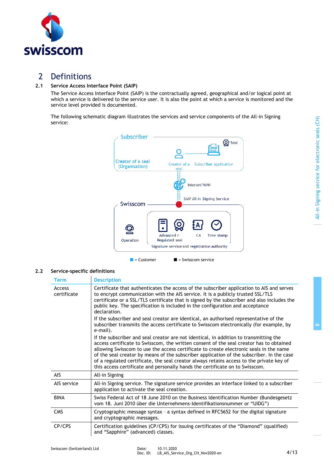

# 2 Definitions

### **2.1 Service Access Interface Point (SAIP)**

The Service Access Interface Point (SAIP) is the contractually agreed, geographical and/or logical point at which a service is delivered to the service user. It is also the point at which a service is monitored and the service level provided is documented.

The following schematic diagram illustrates the services and service components of the All-in Signing service:



### **2.2 Service-specific definitions**

| <b>Term</b>           | <b>Description</b>                                                                                                                                                                                                                                                                                                                                                                                                                                                                                                                                  |
|-----------------------|-----------------------------------------------------------------------------------------------------------------------------------------------------------------------------------------------------------------------------------------------------------------------------------------------------------------------------------------------------------------------------------------------------------------------------------------------------------------------------------------------------------------------------------------------------|
| Access<br>certificate | Certificate that authenticates the access of the subscriber application to AIS and serves<br>to encrypt communication with the AIS service. It is a publicly trusted SSL/TLS<br>certificate or a SSL/TLS certificate that is signed by the subscriber and also includes the<br>public key. The specification is included in the configuration and acceptance<br>declaration.<br>If the subscriber and seal creator are identical, an authorised representative of the                                                                               |
|                       | subscriber transmits the access certificate to Swisscom electronically (for example, by<br>e-mail).                                                                                                                                                                                                                                                                                                                                                                                                                                                 |
|                       | If the subscriber and seal creator are not identical, in addition to transmitting the<br>access certificate to Swisscom, the written consent of the seal creator has to obtained<br>allowing Swisscom to use the access certificate to create electronic seals in the name<br>of the seal creator by means of the subscriber application of the subscriber. In the case<br>of a regulated certificate, the seal creator always retains access to the private key of<br>this access certificate and personally hands the certificate on to Swisscom. |
| <b>AIS</b>            | All-in Signing                                                                                                                                                                                                                                                                                                                                                                                                                                                                                                                                      |
| AIS service           | All-in Signing service. The signature service provides an interface linked to a subscriber<br>application to activate the seal creation.                                                                                                                                                                                                                                                                                                                                                                                                            |
| <b>BINA</b>           | Swiss Federal Act of 18 June 2010 on the Business Identification Number (Bundesgesetz<br>vom 18. Juni 2010 über die Unternehmens-Identifikationsnummer or "UIDG")                                                                                                                                                                                                                                                                                                                                                                                   |
| <b>CMS</b>            | Cryptographic message syntax - a syntax defined in RFC5652 for the digital signature<br>and cryptographic messages.                                                                                                                                                                                                                                                                                                                                                                                                                                 |
| CP/CPS                | Certification guidelines (CP/CPS) for issuing certificates of the "Diamond" (qualified)<br>and "Sapphire" (advanced) classes.                                                                                                                                                                                                                                                                                                                                                                                                                       |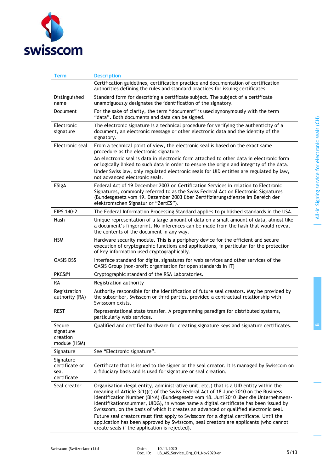

| Term                                                                                                                                                                                                                                                                                                          | <b>Description</b>                                                                                                                                                                                                                                                                                                                                                                                                                                     |  |
|---------------------------------------------------------------------------------------------------------------------------------------------------------------------------------------------------------------------------------------------------------------------------------------------------------------|--------------------------------------------------------------------------------------------------------------------------------------------------------------------------------------------------------------------------------------------------------------------------------------------------------------------------------------------------------------------------------------------------------------------------------------------------------|--|
|                                                                                                                                                                                                                                                                                                               | Certification guidelines, certification practice and documentation of certification<br>authorities defining the rules and standard practices for issuing certificates.                                                                                                                                                                                                                                                                                 |  |
| Distinguished<br>name                                                                                                                                                                                                                                                                                         | Standard form for describing a certificate subject. The subject of a certificate<br>unambiguously designates the identification of the signatory.                                                                                                                                                                                                                                                                                                      |  |
| <b>Document</b>                                                                                                                                                                                                                                                                                               | For the sake of clarity, the term "document" is used synonymously with the term<br>"data". Both documents and data can be signed.                                                                                                                                                                                                                                                                                                                      |  |
| Electronic<br>signature                                                                                                                                                                                                                                                                                       | The electronic signature is a technical procedure for verifying the authenticity of a<br>document, an electronic message or other electronic data and the identity of the<br>signatory.                                                                                                                                                                                                                                                                |  |
| Electronic seal                                                                                                                                                                                                                                                                                               | From a technical point of view, the electronic seal is based on the exact same<br>procedure as the electronic signature.                                                                                                                                                                                                                                                                                                                               |  |
|                                                                                                                                                                                                                                                                                                               | An electronic seal is data in electronic form attached to other data in electronic form<br>or logically linked to such data in order to ensure the origin and integrity of the data.<br>Under Swiss law, only regulated electronic seals for UID entities are regulated by law,<br>not advanced electronic seals.                                                                                                                                      |  |
| ESigA<br>Federal Act of 19 December 2003 on Certification Services in relation to Electronic<br>Signatures, commonly referred to as the Swiss Federal Act on Electronic Signatures<br>(Bundesgesetz vom 19. Dezember 2003 über Zertifizierungsdienste im Bereich der<br>elektronischen Signatur or "ZertES"). |                                                                                                                                                                                                                                                                                                                                                                                                                                                        |  |
| FIPS 140-2                                                                                                                                                                                                                                                                                                    | The Federal Information Processing Standard applies to published standards in the USA.                                                                                                                                                                                                                                                                                                                                                                 |  |
| Hash                                                                                                                                                                                                                                                                                                          | Unique representation of a large amount of data on a small amount of data, almost like<br>a document's fingerprint. No inferences can be made from the hash that would reveal<br>the contents of the document in any way.                                                                                                                                                                                                                              |  |
| <b>HSM</b>                                                                                                                                                                                                                                                                                                    | Hardware security module. This is a periphery device for the efficient and secure<br>execution of cryptographic functions and applications, in particular for the protection<br>of key information used cryptographically.                                                                                                                                                                                                                             |  |
| <b>OASIS DSS</b>                                                                                                                                                                                                                                                                                              | Interface standard for digital signatures for web services and other services of the<br>OASIS Group (non-profit organisation for open standards in IT)                                                                                                                                                                                                                                                                                                 |  |
| PKCS#1<br>Cryptographic standard of the RSA Laboratories.                                                                                                                                                                                                                                                     |                                                                                                                                                                                                                                                                                                                                                                                                                                                        |  |
| RA                                                                                                                                                                                                                                                                                                            | Registration authority                                                                                                                                                                                                                                                                                                                                                                                                                                 |  |
| Registration<br>authority (RA)                                                                                                                                                                                                                                                                                | Authority responsible for the identification of future seal creators. May be provided by<br>the subscriber, Swisscom or third parties, provided a contractual relationship with<br>Swisscom exists.                                                                                                                                                                                                                                                    |  |
| <b>REST</b>                                                                                                                                                                                                                                                                                                   | Representational state transfer. A programming paradigm for distributed systems,<br>particularly web services.                                                                                                                                                                                                                                                                                                                                         |  |
| Secure<br>signature<br>creation<br>module (HSM)                                                                                                                                                                                                                                                               | Qualified and certified hardware for creating signature keys and signature certificates.                                                                                                                                                                                                                                                                                                                                                               |  |
| Signature                                                                                                                                                                                                                                                                                                     | See "Electronic signature".                                                                                                                                                                                                                                                                                                                                                                                                                            |  |
| Signature<br>certificate or<br>seal<br>certificate                                                                                                                                                                                                                                                            | Certificate that is issued to the signer or the seal creator. It is managed by Swisscom on<br>a fiduciary basis and is used for signature or seal creation.                                                                                                                                                                                                                                                                                            |  |
| Seal creator                                                                                                                                                                                                                                                                                                  | Organisation (legal entity, administrative unit, etc.) that is a UID entity within the<br>meaning of Article $3(1)(c)$ of the Swiss Federal Act of 18 June 2010 on the Business<br>Identification Number (BINA) (Bundesgesetz vom 18. Juni 2010 über die Unternehmens-<br>Identifikationsnummer, UIDG), in whose name a digital certificate has been issued by<br>Swisscom, on the basis of which it creates an advanced or qualified electronic seal. |  |
|                                                                                                                                                                                                                                                                                                               | Future seal creators must first apply to Swisscom for a digital certificate. Until the<br>application has been approved by Swisscom, seal creators are applicants (who cannot<br>create seals if the application is rejected).                                                                                                                                                                                                                         |  |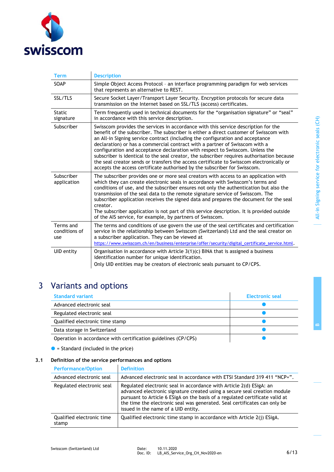

| <b>Term</b>                                                                                                                                                                                                                                                                                                                                                                                                                                                                                                                                                                                                                                                                                                         | <b>Description</b>                                                                                                                                                                                                                                                                                                                                                                                                                                                                                                                                                                                                  |
|---------------------------------------------------------------------------------------------------------------------------------------------------------------------------------------------------------------------------------------------------------------------------------------------------------------------------------------------------------------------------------------------------------------------------------------------------------------------------------------------------------------------------------------------------------------------------------------------------------------------------------------------------------------------------------------------------------------------|---------------------------------------------------------------------------------------------------------------------------------------------------------------------------------------------------------------------------------------------------------------------------------------------------------------------------------------------------------------------------------------------------------------------------------------------------------------------------------------------------------------------------------------------------------------------------------------------------------------------|
| SOAP                                                                                                                                                                                                                                                                                                                                                                                                                                                                                                                                                                                                                                                                                                                | Simple Object Access Protocol - an interface programming paradigm for web services<br>that represents an alternative to REST.                                                                                                                                                                                                                                                                                                                                                                                                                                                                                       |
| SSL/TLS                                                                                                                                                                                                                                                                                                                                                                                                                                                                                                                                                                                                                                                                                                             | Secure Socket Layer/Transport Layer Security. Encryption protocols for secure data<br>transmission on the Internet based on SSL/TLS (access) certificates.                                                                                                                                                                                                                                                                                                                                                                                                                                                          |
| <b>Static</b><br>signature                                                                                                                                                                                                                                                                                                                                                                                                                                                                                                                                                                                                                                                                                          | Term frequently used in technical documents for the "organisation signature" or "seal"<br>in accordance with this service description.                                                                                                                                                                                                                                                                                                                                                                                                                                                                              |
| Subscriber<br>Swisscom provides the services in accordance with this service description for the<br>benefit of the subscriber. The subscriber is either a direct customer of Swisscom with<br>an All-in Signing service contract (including the configuration and acceptance<br>declaration) or has a commercial contract with a partner of Swisscom with a<br>configuration and acceptance declaration with respect to Swisscom. Unless the<br>subscriber is identical to the seal creator, the subscriber requires authorisation because<br>the seal creator sends or transfers the access certificate to Swisscom electronically or<br>accepts the access certificate authorised by the subscriber for Swisscom. |                                                                                                                                                                                                                                                                                                                                                                                                                                                                                                                                                                                                                     |
| Subscriber<br>application                                                                                                                                                                                                                                                                                                                                                                                                                                                                                                                                                                                                                                                                                           | The subscriber provides one or more seal creators with access to an application with<br>which they can create electronic seals in accordance with Swisscom's terms and<br>conditions of use, and the subscriber ensures not only the authentication but also the<br>transmission of the seal data to the remote signature service of Swisscom. The<br>subscriber application receives the signed data and prepares the document for the seal<br>creator.<br>The subscriber application is not part of this service description. It is provided outside<br>of the AIS service, for example, by partners of Swisscom. |
| Terms and<br>conditions of<br>use                                                                                                                                                                                                                                                                                                                                                                                                                                                                                                                                                                                                                                                                                   | The terms and conditions of use govern the use of the seal certificates and certification<br>service in the relationship between Swisscom (Switzerland) Ltd and the seal creator on<br>a subscriber application. They can be viewed at<br>https://www.swisscom.ch/en/business/enterprise/offer/security/digital_certificate_service.html.                                                                                                                                                                                                                                                                           |
| UID entity                                                                                                                                                                                                                                                                                                                                                                                                                                                                                                                                                                                                                                                                                                          | Organisation in accordance with Article $3(1)(c)$ BINA that is assigned a business<br>identification number for unique identification.<br>Only UID entities may be creators of electronic seals pursuant to CP/CPS.                                                                                                                                                                                                                                                                                                                                                                                                 |

# 3 Variants and options

| <b>Standard variant</b>                                        | Electronic seal |
|----------------------------------------------------------------|-----------------|
| Advanced electronic seal                                       |                 |
| Regulated electronic seal                                      |                 |
| Qualified electronic time stamp                                |                 |
| Data storage in Switzerland                                    |                 |
| Operation in accordance with certification guidelines (CP/CPS) |                 |

 $\bullet$  = Standard (included in the price)

### **3.1 Definition of the service performances and options**

| <b>Performance/Option</b>          | <b>Definition</b>                                                                                                                                                                                                                                                                                                                                    |
|------------------------------------|------------------------------------------------------------------------------------------------------------------------------------------------------------------------------------------------------------------------------------------------------------------------------------------------------------------------------------------------------|
| Advanced electronic seal           | Advanced electronic seal in accordance with ETSI Standard 319 411 "NCP+".                                                                                                                                                                                                                                                                            |
| Regulated electronic seal          | Regulated electronic seal in accordance with Article 2(d) ESigA: an<br>advanced electronic signature created using a secure seal creation module<br>pursuant to Article 6 ESigA on the basis of a regulated certificate valid at<br>the time the electronic seal was generated. Seal certificates can only be<br>issued in the name of a UID entity. |
| Qualified electronic time<br>stamp | Qualified electronic time stamp in accordance with Article 2(j) ESigA.                                                                                                                                                                                                                                                                               |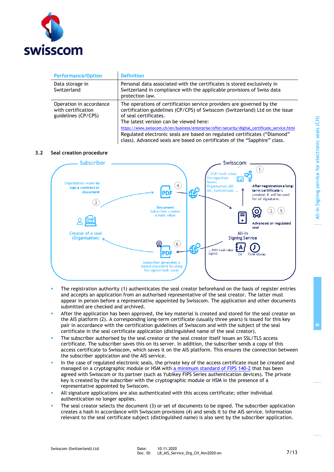

| <b>Performance/Option</b>                                            | <b>Definition</b>                                                                                                                                                                                                                                                                                                                                                                                                                                                                    |
|----------------------------------------------------------------------|--------------------------------------------------------------------------------------------------------------------------------------------------------------------------------------------------------------------------------------------------------------------------------------------------------------------------------------------------------------------------------------------------------------------------------------------------------------------------------------|
| Data storage in<br>Switzerland                                       | Personal data associated with the certificates is stored exclusively in<br>Switzerland in compliance with the applicable provisions of Swiss data<br>protection law.                                                                                                                                                                                                                                                                                                                 |
| Operation in accordance<br>with certification<br>guidelines (CP/CPS) | The operations of certification service providers are governed by the<br>certification guidelines (CP/CPS) of Swisscom (Switzerland) Ltd on the issue<br>of seal certificates.<br>The latest version can be viewed here:<br>https://www.swisscom.ch/en/business/enterprise/offer/security/digital_certificate_service.html<br>Regulated electronic seals are based on regulated certificates ("Diamond"<br>class). Advanced seals are based on certificates of the "Sapphire" class. |

### **3.2 Seal creation procedure**



- The registration authority (1) authenticates the seal creator beforehand on the basis of register entries and accepts an application from an authorised representative of the seal creator. The latter must appear in person before a representative appointed by Swisscom. The application and other documents submitted are checked and archived.
- After the application has been approved, the key material is created and stored for the seal creator on the AIS platform (2). A corresponding long-term certificate (usually three years) is issued for this key pair in accordance with the certification guidelines of Swisscom and with the subject of the seal certificate in the seal certificate application (distinguished name of the seal creator).
- The subscriber authorised by the seal creator or the seal creator itself issues an SSL/TLS access certificate. The subscriber saves this on its server. In addition, the subscriber sends a copy of this access certificate to Swisscom, which saves it on the AIS platform. This ensures the connection between the subscriber application and the AIS service.
- In the case of regulated electronic seals, the private key of the access certificate must be created and managed on a cryptographic module or HSM with [a minimum standard of FIPS 140-2](https://csrc.nist.gov/Projects/Cryptographic-Module-Validation-Program/Validated-Modules/Search) that has been agreed with Swisscom or its partner (such as Yubikey FIPS Series authentication devices). The private key is created by the subscriber with the cryptographic module or HSM in the presence of a representative appointed by Swisscom.
- All signature applications are also authenticated with this access certificate; other individual authentication no longer applies.
- The seal creator selects the document  $(3)$  or set of documents to be signed. The subscriber application creates a hash in accordance with Swisscom provisions (4) and sends it to the AIS service. Information relevant to the seal certificate subject (distinguished name) is also sent by the subscriber application.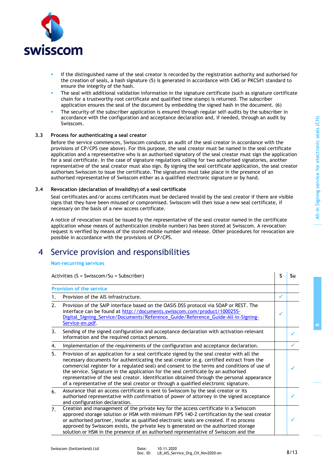**B**



- If the distinguished name of the seal creator is recorded by the registration authority and authorised for the creation of seals, a hash signature (5) is generated in accordance with CMS or PKCS#1 standard to ensure the integrity of the hash.
- The seal with additional validation information in the signature certificate (such as signature certificate chain for a trustworthy root certificate and qualified time stamp) is returned. The subscriber application ensures the seal of the document by embedding the signed hash in the document. (6)
- The security of the subscriber application is ensured through regular self-audits by the subscriber in accordance with the configuration and acceptance declaration and, if needed, through an audit by Swisscom.

### **3.3 Process for authenticating a seal creator**

Before the service commences, Swisscom conducts an audit of the seal creator in accordance with the provisions of CP/CPS (see above). For this purpose, the seal creator must be named in the seal certificate application and a representative who is an authorised signatory of the seal creator must sign the application for a seal certificate. In the case of signature regulations calling for two authorised signatories, another representative of the seal creator must also sign. By signing the seal certificate application, the seal creator authorises Swisscom to issue the certificate. The signatures must take place in the presence of an authorised representative of Swisscom either as a qualified electronic signature or by hand.

#### **3.4 Revocation (declaration of invalidity) of a seal certificate**

Seal certificates and/or access certificates must be declared invalid by the seal creator if there are visible signs that they have been misused or compromised. Swisscom will then issue a new seal certificate, if necessary on the basis of a new access certificate.

A notice of revocation must be issued by the representative of the seal creator named in the certificate application whose means of authentication (mobile number) has been stored at Swisscom. A revocation request is verified by means of the stored mobile number and release. Other procedures for revocation are possible in accordance with the provisions of CP/CPS.

# 4 Service provision and responsibilities

### **Non-recurring services**

Activities (S = Swisscom/Su = Subscriber) **S Subscriber S Subscriber S Subscriber S Subscriber S Subscriber S Subscriber S Subscriber S Subscriber S Subscriber S Subscriber S Subsc** 

|                | <b>Provision of the service</b>                                                                                                                                                                                                                                                                                                                                                                                                                                                                                                                                     |   |   |
|----------------|---------------------------------------------------------------------------------------------------------------------------------------------------------------------------------------------------------------------------------------------------------------------------------------------------------------------------------------------------------------------------------------------------------------------------------------------------------------------------------------------------------------------------------------------------------------------|---|---|
|                | Provision of the AIS infrastructure.                                                                                                                                                                                                                                                                                                                                                                                                                                                                                                                                | ✓ |   |
| 2.             | Provision of the SAIP interface based on the OASIS DSS protocol via SOAP or REST. The<br>interface can be found at http://documents.swisscom.com/product/1000255-<br>Digital_Signing_Service/Documents/Reference_Guide/Reference_Guide-All-in-Signing-<br>Service-en.pdf.                                                                                                                                                                                                                                                                                           |   |   |
| 3.             | Sending of the signed configuration and acceptance declaration with activation-relevant<br>information and the required contact persons.                                                                                                                                                                                                                                                                                                                                                                                                                            |   |   |
| 4.             | Implementation of the requirements of the configuration and acceptance declaration.                                                                                                                                                                                                                                                                                                                                                                                                                                                                                 |   |   |
| 5.             | Provision of an application for a seal certificate signed by the seal creator with all the<br>necessary documents for authenticating the seal creator (e.g. certified extract from the<br>commercial register for a regulated seal) and consent to the terms and conditions of use of<br>the service. Signature in the application for the seal certificate by an authorised<br>representative of the seal creator. Identification obtained through the personal appearance<br>of a representative of the seal creator or through a qualified electronic signature. |   |   |
| 6.             | Assurance that an access certificate is sent to Swisscom by the seal creator or its<br>authorised representative with confirmation of power of attorney in the signed acceptance<br>and configuration declaration.                                                                                                                                                                                                                                                                                                                                                  |   |   |
| 7 <sub>1</sub> | Creation and management of the private key for the access certificate in a Swisscom<br>approved storage solution or HSM with minimum FIPS 140-2 certification by the seal creator<br>or authorised partner, insofar as qualified electronic seals are created. If no process<br>approved by Swisscom exists, the private key is generated on the authorized storage<br>solution or HSM in the presence of an authorised representative of Swisscom and the                                                                                                          |   | ✓ |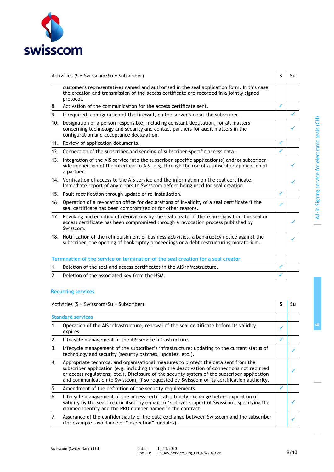

|                  | Activities ( $S = Swisscom/Su = Subscripter$ )                                                                                                                                                                           | S            | Su |
|------------------|--------------------------------------------------------------------------------------------------------------------------------------------------------------------------------------------------------------------------|--------------|----|
|                  | customer's representatives named and authorised in the seal application form. In this case,<br>the creation and transmission of the access certificate are recorded in a jointly signed<br>protocol.                     |              |    |
| 8.               | Activation of the communication for the access certificate sent.                                                                                                                                                         | ✓            |    |
| 9.               | If required, configuration of the firewall, on the server side at the subscriber.                                                                                                                                        |              |    |
|                  | 10. Designation of a person responsible, including constant deputation, for all matters<br>concerning technology and security and contact partners for audit matters in the<br>configuration and acceptance declaration. |              |    |
|                  | 11. Review of application documents.                                                                                                                                                                                     | ✓            |    |
|                  | 12. Connection of the subscriber and sending of subscriber-specific access data.                                                                                                                                         | $\checkmark$ |    |
|                  | 13. Integration of the AIS service into the subscriber-specific application(s) and/or subscriber-<br>side connection of the interface to AIS, e.g. through the use of a subscriber application of<br>a partner.          |              |    |
|                  | 14. Verification of access to the AIS service and the information on the seal certificate.<br>Immediate report of any errors to Swisscom before being used for seal creation.                                            |              |    |
|                  | 15. Fault rectification through update or re-installation.                                                                                                                                                               | ✓            |    |
| 16.              | Operation of a revocation office for declarations of invalidity of a seal certificate if the<br>seal certificate has been compromised or for other reasons.                                                              | ✓            |    |
|                  | 17. Revoking and enabling of revocations by the seal creator if there are signs that the seal or<br>access certificate has been compromised through a revocation process published by<br>Swisscom.                       |              |    |
|                  | 18. Notification of the relinguishment of business activities, a bankruptcy notice against the<br>subscriber, the opening of bankruptcy proceedings or a debt restructuring moratorium.                                  |              |    |
|                  | Termination of the service or termination of the seal creation for a seal creator                                                                                                                                        |              |    |
| 1.               | Deletion of the seal and access certificates in the AIS infrastructure.                                                                                                                                                  | $\checkmark$ |    |
| $\overline{2}$ . | Deletion of the associated key from the HSM.                                                                                                                                                                             |              |    |

### **Recurring services**

|    | Activities ( $S = Swisscom/Su = Subscripter$ )                                                                                                                                                                                                                                                                                                                                    | Sп |
|----|-----------------------------------------------------------------------------------------------------------------------------------------------------------------------------------------------------------------------------------------------------------------------------------------------------------------------------------------------------------------------------------|----|
|    | <b>Standard services</b>                                                                                                                                                                                                                                                                                                                                                          |    |
| 1. | Operation of the AIS infrastructure, renewal of the seal certificate before its validity<br>expires.                                                                                                                                                                                                                                                                              |    |
| 2. | Lifecycle management of the AIS service infrastructure.                                                                                                                                                                                                                                                                                                                           |    |
| 3. | Lifecycle management of the subscriber's infrastructure: updating to the current status of<br>technology and security (security patches, updates, etc.).                                                                                                                                                                                                                          |    |
| 4. | Appropriate technical and organisational measures to protect the data sent from the<br>subscriber application (e.g. including through the deactivation of connections not required<br>or access regulations, etc.). Disclosure of the security system of the subscriber application<br>and communication to Swisscom, if so requested by Swisscom or its certification authority. |    |
| 5. | Amendment of the definition of the security requirements.                                                                                                                                                                                                                                                                                                                         |    |
| 6. | Lifecycle management of the access certificate: timely exchange before expiration of<br>validity by the seal creator itself by e-mail to 1st-level support of Swisscom, specifying the<br>claimed identity and the PRO number named in the contract.                                                                                                                              |    |
| 7. | Assurance of the confidentiality of the data exchange between Swisscom and the subscriber<br>(for example, avoidance of "inspection" modules).                                                                                                                                                                                                                                    |    |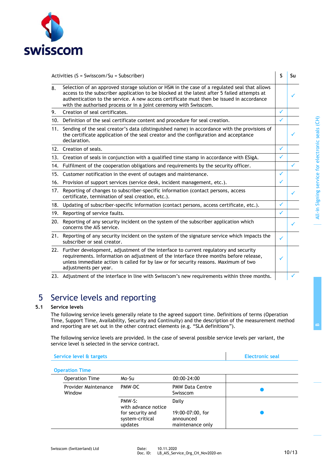

| Activities $(S = Swisscom/Su = Subscripter)$ |                                                                                                                                                                                                                                                                                                                                                               | S            | Su |
|----------------------------------------------|---------------------------------------------------------------------------------------------------------------------------------------------------------------------------------------------------------------------------------------------------------------------------------------------------------------------------------------------------------------|--------------|----|
| 8.                                           | Selection of an approved storage solution or HSM in the case of a regulated seal that allows<br>access to the subscriber application to be blocked at the latest after 5 failed attempts at<br>authentication to the service. A new access certificate must then be issued in accordance<br>with the authorised process or in a joint ceremony with Swisscom. |              |    |
| 9.                                           | Creation of seal certificates.                                                                                                                                                                                                                                                                                                                                | $\checkmark$ |    |
|                                              | 10. Definition of the seal certificate content and procedure for seal creation.                                                                                                                                                                                                                                                                               | $\checkmark$ |    |
| 11.                                          | Sending of the seal creator's data (distinguished name) in accordance with the provisions of<br>the certificate application of the seal creator and the configuration and acceptance<br>declaration.                                                                                                                                                          |              |    |
|                                              | 12. Creation of seals.                                                                                                                                                                                                                                                                                                                                        | ✓            |    |
|                                              | 13. Creation of seals in conjunction with a qualified time stamp in accordance with ESigA.                                                                                                                                                                                                                                                                    | ✓            |    |
|                                              | 14. Fulfilment of the cooperation obligations and requirements by the security officer.                                                                                                                                                                                                                                                                       |              | ✓  |
|                                              | 15. Customer notification in the event of outages and maintenance.                                                                                                                                                                                                                                                                                            | ✓            |    |
| 16.                                          | Provision of support services (service desk, incident management, etc.).                                                                                                                                                                                                                                                                                      | ✓            |    |
| 17.                                          | Reporting of changes to subscriber-specific information (contact persons, access<br>certificate, termination of seal creation, etc.).                                                                                                                                                                                                                         |              |    |
| 18.                                          | Updating of subscriber-specific information (contact persons, access certificate, etc.).                                                                                                                                                                                                                                                                      | ✓            |    |
|                                              | 19. Reporting of service faults.                                                                                                                                                                                                                                                                                                                              | ✓            |    |
|                                              | 20. Reporting of any security incident on the system of the subscriber application which<br>concerns the AIS service.                                                                                                                                                                                                                                         |              |    |
| 21.                                          | Reporting of any security incident on the system of the signature service which impacts the<br>subscriber or seal creator.                                                                                                                                                                                                                                    | ✓            |    |
|                                              | 22. Further development, adjustment of the interface to current regulatory and security<br>requirements. Information on adjustment of the interface three months before release,<br>unless immediate action is called for by law or for security reasons. Maximum of two<br>adjustments per year.                                                             | ✓            |    |
|                                              | 23. Adjustment of the interface in line with Swisscom's new requirements within three months.                                                                                                                                                                                                                                                                 |              |    |

# 5 Service levels and reporting

### **5.1 Service levels**

The following service levels generally relate to the agreed support time. Definitions of terms (Operation Time, Support Time, Availability, Security and Continuity) and the description of the measurement method and reporting are set out in the other contract elements (e.g. "SLA definitions").

The following service levels are provided. In the case of several possible service levels per variant, the service level is selected in the service contract.

| Service level & targets | Electronic seal |
|-------------------------|-----------------|
|                         |                 |

|  |  | <b>Operation Time</b> |
|--|--|-----------------------|
|  |  |                       |

| <b>Operation Time</b>          | Mo-Su                                                                           | 00:00-24:00                                                |  |
|--------------------------------|---------------------------------------------------------------------------------|------------------------------------------------------------|--|
| Provider Maintenance<br>Window | PMW-DC                                                                          | <b>PMW Data Centre</b><br>Swisscom                         |  |
|                                | PMW-S:<br>with advance notice<br>for security and<br>system-critical<br>updates | Daily<br>19:00-07:00, for<br>announced<br>maintenance only |  |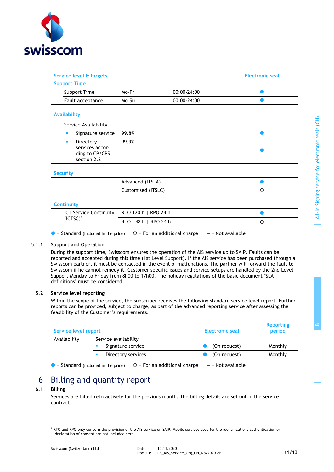

| Service level & targets                                            |                    |             | <b>Electronic seal</b> |
|--------------------------------------------------------------------|--------------------|-------------|------------------------|
| <b>Support Time</b>                                                |                    |             |                        |
| Support Time                                                       | Mo-Fr              | 00:00-24:00 |                        |
| Fault acceptance                                                   | Mo-Su              | 00:00-24:00 |                        |
| <b>Availability</b>                                                |                    |             |                        |
| Service Availability                                               |                    |             |                        |
| Signature service<br>п                                             | 99.8%              |             |                        |
| Directory<br>٠<br>services accor-<br>ding to CP/CPS<br>section 2.2 | 99.9%              |             |                        |
| <b>Security</b>                                                    |                    |             |                        |
|                                                                    | Advanced (ITSLA)   |             |                        |
|                                                                    | Customised (ITSLC) |             | $\circ$                |

| $ICT$ Service Continuity $RTO$ 120 h $\mid$ RPO 24 h |                                                    |  |
|------------------------------------------------------|----------------------------------------------------|--|
| $(ICTSC)^1$                                          | $RTO$ 48 h $\mid$ RPO 24 h                         |  |
| $\bullet$ = Standard (included in the price)         | $O$ = For an additional charge $-$ = Not available |  |

### 5.1.1 **Support and Operation**

During the support time, Swisscom ensures the operation of the AIS service up to SAIP. Faults can be reported and accepted during this time (1st Level Support). If the AIS service has been purchased through a Swisscom partner, it must be contacted in the event of malfunctions. The partner will forward the fault to Swisscom if he cannot remedy it. Customer specific issues and service setups are handled by the 2nd Level Support Monday to Friday from 8h00 to 17h00. The holiday regulations of the basic document "SLA definitions" must be considered.

### **5.2 Service level reporting**

Within the scope of the service, the subscriber receives the following standard service level report. Further reports can be provided, subject to charge, as part of the advanced reporting service after assessing the feasibility of the Customer's requirements.

| Service level report |                                           | Electronic seal | <b>Reporting</b><br>period |
|----------------------|-------------------------------------------|-----------------|----------------------------|
| Availability         | Service availability<br>Signature service | (On request)    | Monthly                    |
|                      | Directory services                        | (On request)    | Monthly                    |

 $\bullet$  = Standard (included in the price)  $\circ$  = For an additional charge  $\bullet$  = Not available

# 6 Billing and quantity report

### **6.1 Billing**

Services are billed retroactively for the previous month. The billing details are set out in the service contract.

<sup>1</sup> RTO and RPO only concern the provision of the AIS service on SAIP. Mobile services used for the identification, authentication or declaration of consent are not included here.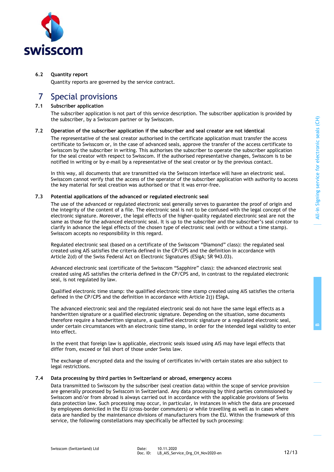**B**



### **6.2 Quantity report**

Quantity reports are governed by the service contract.

## 7 Special provisions

### **7.1 Subscriber application**

The subscriber application is not part of this service description. The subscriber application is provided by the subscriber, by a Swisscom partner or by Swisscom.

### **7.2 Operation of the subscriber application if the subscriber and seal creator are not identical**

The representative of the seal creator authorised in the certificate application must transfer the access certificate to Swisscom or, in the case of advanced seals, approve the transfer of the access certificate to Swisscom by the subscriber in writing. This authorises the subscriber to operate the subscriber application for the seal creator with respect to Swisscom. If the authorised representative changes, Swisscom is to be notified in writing or by e-mail by a representative of the seal creator or by the previous contact.

In this way, all documents that are transmitted via the Swisscom interface will have an electronic seal. Swisscom cannot verify that the access of the operator of the subscriber application with authority to access the key material for seal creation was authorised or that it was error-free.

### **7.3 Potential applications of the advanced or regulated electronic seal**

The use of the advanced or regulated electronic seal generally serves to guarantee the proof of origin and the integrity of the content of a file. The electronic seal is not to be confused with the legal concept of the electronic signature. Moreover, the legal effects of the higher-quality regulated electronic seal are not the same as those for the advanced electronic seal. It is up to the subscriber and the subscriber's seal creator to clarify in advance the legal effects of the chosen type of electronic seal (with or without a time stamp). Swisscom accepts no responsibility in this regard.

Regulated electronic seal (based on a certificate of the Swisscom "Diamond" class): the regulated seal created using AIS satisfies the criteria defined in the CP/CPS and the definition in accordance with Article 2(d) of the Swiss Federal Act on Electronic Signatures (ESigA; SR 943.03).

Advanced electronic seal (certificate of the Swisscom "Sapphire" class): the advanced electronic seal created using AIS satisfies the criteria defined in the CP/CPS and, in contrast to the regulated electronic seal, is not regulated by law.

Qualified electronic time stamp: the qualified electronic time stamp created using AIS satisfies the criteria defined in the CP/CPS and the definition in accordance with Article 2(j) ESigA.

The advanced electronic seal and the regulated electronic seal do not have the same legal effects as a handwritten signature or a qualified electronic signature. Depending on the situation, some documents therefore require a handwritten signature, a qualified electronic signature or a regulated electronic seal, under certain circumstances with an electronic time stamp, in order for the intended legal validity to enter into effect.

In the event that foreign law is applicable, electronic seals issued using AIS may have legal effects that differ from, exceed or fall short of those under Swiss law.

The exchange of encrypted data and the issuing of certificates in/with certain states are also subject to legal restrictions.

### **7.4 Data processing by third parties in Switzerland or abroad, emergency access**

Data transmitted to Swisscom by the subscriber (seal creation data) within the scope of service provision are generally processed by Swisscom in Switzerland. Any data processing by third parties commissioned by Swisscom and/or from abroad is always carried out in accordance with the applicable provisions of Swiss data protection law. Such processing may occur, in particular, in instances in which the data are processed by employees domiciled in the EU (cross-border commuters) or while travelling as well as in cases where data are handled by the maintenance divisions of manufacturers from the EU. Within the framework of this service, the following constellations may specifically be affected by such processing: